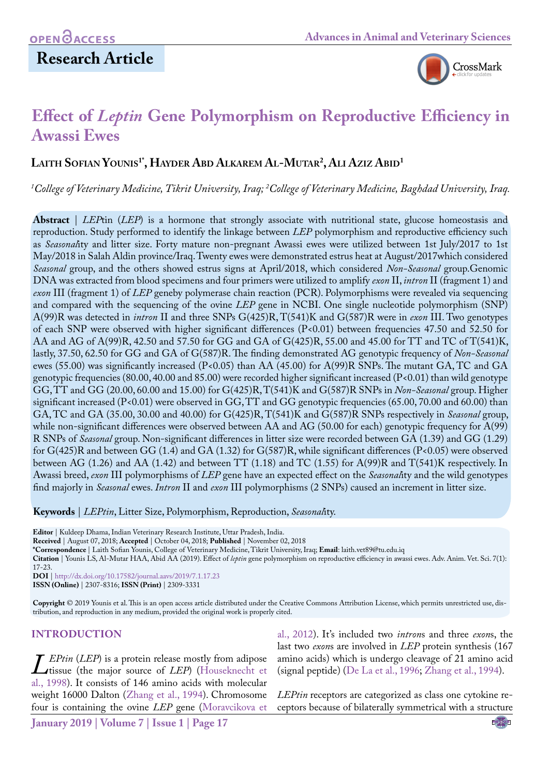## **Research Article**



# **Effect of** *Leptin* **Gene Polymorphism on Reproductive Efficiency in Awassi Ewes**

## **Laith Sofian Younis1\*, Hayder Abd Alkarem Al-Mutar2 , Ali Aziz Abid1**

<sup>1</sup>College of Veterinary Medicine, Tikrit University, Iraq; <sup>2</sup>College of Veterinary Medicine, Baghdad University, Iraq.

**Abstract** | *LEP*tin (*LEP*) is a hormone that strongly associate with nutritional state, glucose homeostasis and reproduction. Study performed to identify the linkage between *LEP* polymorphism and reproductive efficiency such as *Seasonal*ity and litter size. Forty mature non-pregnant Awassi ewes were utilized between 1st July/2017 to 1st May/2018 in Salah Aldin province/Iraq. Twenty ewes were demonstrated estrus heat at August/2017which considered *Seasonal* group, and the others showed estrus signs at April/2018, which considered *Non-Seasonal* group.Genomic DNA was extracted from blood specimens and four primers were utilized to amplify *exon* II, *intron* II (fragment 1) and *exon* III (fragment 1) of *LEP* geneby polymerase chain reaction (PCR). Polymorphisms were revealed via sequencing and compared with the sequencing of the ovine *LEP* gene in NCBI. One single nucleotide polymorphism (SNP) A(99)R was detected in *intron* II and three SNPs G(425)R, T(541)K and G(587)R were in *exon* III. Two genotypes of each SNP were observed with higher significant differences (P<0.01) between frequencies 47.50 and 52.50 for AA and AG of A(99)R, 42.50 and 57.50 for GG and GA of G(425)R, 55.00 and 45.00 for TT and TC of T(541)K, lastly, 37.50, 62.50 for GG and GA of G(587)R. The finding demonstrated AG genotypic frequency of *Non-Seasonal* ewes (55.00) was significantly increased (P<0.05) than AA (45.00) for A(99)R SNPs. The mutant GA, TC and GA genotypic frequencies (80.00, 40.00 and 85.00) were recorded higher significant increased (P<0.01) than wild genotype GG, TT and GG (20.00, 60.00 and 15.00) for G(425)R, T(541)K and G(587)R SNPs in *Non-Seasonal* group. Higher significant increased (P<0.01) were observed in GG, TT and GG genotypic frequencies (65.00, 70.00 and 60.00) than GA, TC and GA (35.00, 30.00 and 40.00) for G(425)R, T(541)K and G(587)R SNPs respectively in *Seasonal* group, while non-significant differences were observed between AA and AG (50.00 for each) genotypic frequency for A(99) R SNPs of *Seasonal* group. Non-significant differences in litter size were recorded between GA (1.39) and GG (1.29) for G(425)R and between GG (1.4) and GA (1.32) for G(587)R, while significant differences (P<0.05) were observed between AG (1.26) and AA (1.42) and between TT (1.18) and TC (1.55) for A(99)R and T(541)K respectively. In Awassi breed, *exon* III polymorphisms of *LEP* gene have an expected effect on the *Seasonal*ity and the wild genotypes find majorly in *Seasonal* ewes. *Intron* II and *exon* III polymorphisms (2 SNPs) caused an increment in litter size.

**Keywords** | *LEPtin*, Litter Size, Polymorphism, Reproduction, *Seasonal*ity.

**Editor** | Kuldeep Dhama, Indian Veterinary Research Institute, Uttar Pradesh, India.

**Received** | August 07, 2018; **Accepted** | October 04, 2018; **Published** | November 02, 2018

**\*Correspondence** | Laith Sofian Younis, College of Veterinary Medicine, Tikrit University, Iraq; **Email**: laith.vet89@tu.edu.iq

**Citation** | Younis LS, Al-Mutar HAA, Abid AA (2019). Effect of *leptin* gene polymorphism on reproductive efficiency in awassi ewes. Adv. Anim. Vet. Sci. 7(1): 17-23.

**DOI** | [http://dx.doi.org/10.17582/journal.aavs/201](http://dx.doi.org/10.17582/journal.aavs/2019/7.1.17.23)9/7.1.17.23

**ISSN (Online)** | 2307-8316; **ISSN (Print)** | 2309-3331

**Copyright** © 2019 Younis et al. This is an open access article distributed under the Creative Commons Attribution License, which permits unrestricted use, distribution, and reproduction in any medium, provided the original work is properly cited.

#### **Introduction**

*[L](#page-5-0)EPtin* (*LEP*) is a protein release mostly from adipose<br>tissue (the major source of *LEP*) (Houseknecht et<br>al., 1998). It consists of 146 amino acids with molecular tissue (the major source of *LEP*) [\(Houseknecht et](#page-5-0)  al., 1998). It consists of 146 amino acids with molecular weight 16000 Dalton [\(Zhang et al., 1994\)](#page-6-0). Chromosome four is containing the ovine *LEP* gene ([Moravcikova et](#page-5-1) 

[al., 2012\)](#page-5-1). It's included two *intron*s and three *exon*s, the last two *exon*s are involved in *LEP* protein synthesis (167 amino acids) which is undergo cleavage of 21 amino acid (signal peptide) (De La et al., 1996; [Zhang et al., 1994\)](#page-6-0).

*LEPtin* receptors are categorized as class one cytokine receptors because of bilaterally symmetrical with a structure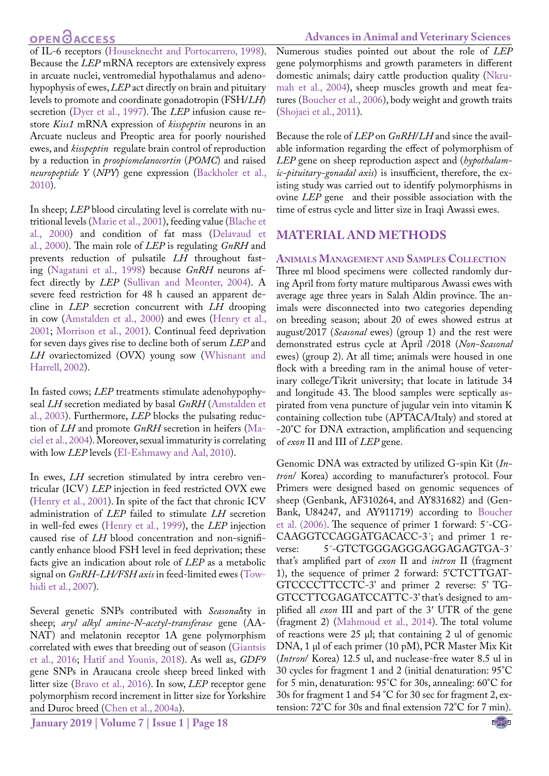## **OPENOACCESS**

of IL-6 receptors (Houseknecht and Portocarrero, 1998). Because the *LEP* mRNA receptors are extensively express in arcuate nuclei, ventromedial hypothalamus and adenohypophysis of ewes, *LEP* act directly on brain and pituitary levels to promote and coordinate gonadotropin (FSH/*LH*) secretion [\(Dyer et al., 1997](#page-5-2)). The *LEP* infusion cause restore *Kiss1* mRNA expression of *kisspeptin* neurons in an Arcuate nucleus and Preoptic area for poorly nourished ewes, and *kisspeptin* regulate brain control of reproduction by a reduction in *proopiomelanocortin* (*POMC*) and raised *neuropeptide Y* (*NPY*) gene expression ([Backholer et al.,](#page-5-3) [2010](#page-5-3)).

In sheep; *LEP* blood circulating level is correlate with nutritional levels ([Marie et al., 2001](#page-5-1)), feeding value [\(Blache et](#page-5-4) [al., 2000](#page-5-4)) and condition of fat mass [\(Delavaud et](#page-5-5) [al., 2000\)](#page-5-5). The main role of *LEP* is regulating *GnRH* and prevents reduction of pulsatile *LH* throughout fasting [\(Nagatani et al., 1998\)](#page-5-6) because *GnRH* neurons affect directly by *LEP* ([Sullivan and Meonter, 2004](#page-6-1)). A severe feed restriction for 48 h caused an apparent decline in *LEP* secretion concurrent with *LH* drooping in cow ([Amstalden et al., 2000](#page-4-0)) and ewes ([Henry et al.,](#page-5-7) [2001](#page-5-7); [Morrison et al., 2001](#page-5-8)). Continual feed deprivation for seven days gives rise to decline both of serum *LEP* and LH ovariectomized (OVX) young sow (Whisnant and [Harrell, 2002](#page-6-2)).

In fasted cows; *LEP* treatments stimulate adenohypophyseal *LH* secretion mediated by basal *GnRH* [\(Amstalden et](#page-4-1) [al., 2003\)](#page-4-1). Furthermore, *LEP* blocks the pulsating reduction of *LH* and promote *GnRH* secretion in heifers [\(Ma](#page-5-9)[ciel et al., 2004\)](#page-5-9). Moreover, sexual immaturity is correlating with low *LEP* levels [\(El-Eshmawy and Aal, 2010\)](#page-5-10).

In ewes, *LH* secretion stimulated by intra cerebro ventricular (ICV) *LEP* injection in feed restricted OVX ewe [\(Henry et al., 2001\)](#page-5-7). In spite of the fact that chronic ICV administration of *LEP* failed to stimulate *LH* secretion in well-fed ewes [\(Henry et al., 1999\)](#page-5-11), the *LEP* injection caused rise of *LH* blood concentration and non-significantly enhance blood FSH level in feed deprivation; these facts give an indication about role of *LEP* as a metabolic signal on *GnRH-LH/FSH axis* in feed-limited ewes [\(Tow](#page-6-3)[hidi et al., 2007\)](#page-6-3).

Several genetic SNPs contributed with *Seasonal*ity in sheep; *aryl alkyl amine-N-acetyl-transferase* gene (AA-NAT) and melatonin receptor 1A gene polymorphism correlated with ewes that breeding out of season ([Giantsis](#page-5-12) [et al., 2016](#page-5-12); [Hatif and Younis, 2018\)](#page-5-13). As well as, *GDF9* gene SNPs in Araucana creole sheep breed linked with litter size (Bravo et al., 2016). In sow, *LEP* receptor gene polymorphism record increment in litter size for Yorkshire and Duroc breed ([Chen et al., 2004a\)](#page-5-14).

Numerous studies pointed out about the role of *LEP* gene polymorphisms and growth parameters in different domestic animals; dairy cattle production quality ([Nkru](#page-5-15)[mah et al., 2004\)](#page-5-15), sheep muscles growth and meat features [\(Boucher et al., 2006](#page-5-16)), body weight and growth traits [\(Shojaei et al., 2011\)](#page-6-4).

Because the role of *LEP* on *GnRH*/*LH* and since the available information regarding the effect of polymorphism of *LEP* gene on sheep reproduction aspect and (*hypothalamic-pituitary-gonadal axis*) is insufficient, therefore, the existing study was carried out to identify polymorphisms in ovine *LEP* gene and their possible association with the time of estrus cycle and litter size in Iraqi Awassi ewes.

## **Material and methods**

#### **Animals Management and Samples Collection**

Three ml blood specimens were, collected randomly during April from forty mature multiparous Awassi ewes with average age three years in Salah Aldin province. The animals were disconnected into two categories depending on breeding season; about 20 of ewes showed estrus at august/2017 (*Seasonal* ewes) (group 1) and the rest were demonstrated estrus cycle at April /2018 (*Non-Seasonal* ewes) (group 2). At all time; animals were housed in one flock with a breeding ram in the animal house of veterinary college/Tikrit university; that locate in latitude 34 and longitude 43. The blood samples were septically aspirated from vena puncture of jugular vein into vitamin K containing collection tube (APTACA/Italy) and stored at -20°C for DNA extraction, amplification and sequencing of *exon* II and III of *LEP* gene.

Genomic DNA was extracted by utilized G-spin Kit (*Intron*/ Korea) according to manufacturer's protocol. Four Primers were designed based on genomic sequences of sheep (Genbank, AF310264, and AY831682) and (Gen-Bank, U84247, and AY911719) according to [Boucher](#page-5-16)  [et al. \(2006\).](#page-5-16) The sequence of primer 1 forward: 5´-CG-CAAGGTCCAGGATGACACC-3´; and primer 1 reverse: 5´-GTCTGGGAGGGAGGAGAGTGA-3´ that's amplified part of *exon* II and *intron* II (fragment 1), the sequence of primer 2 forward: 5'CTCTTGAT-GTCCCCTTCCTC-3' and primer 2 reverse: 5' TG-GTCCTTCGAGATCCATTC-3' that's designed to amplified all *exon* III and part of the 3′ UTR of the gene (fragment 2) [\(Mahmoud et al., 2014](#page-5-17)). The total volume of reactions were 25 μl; that containing 2 ul of genomic DNA, 1 μl of each primer (10 pM), PCR Master Mix Kit (*Intron*/ Korea) 12.5 ul, and nuclease-free water 8.5 ul in 30 cycles for fragment 1 and 2 (initial denaturation: 95°C for 5 min, denaturation: 95°C for 30s, annealing: 60°C for 30s for fragment 1 and 54 °C for 30 sec for fragment 2, extension: 72°C for 30s and final extension 72°C for 7 min).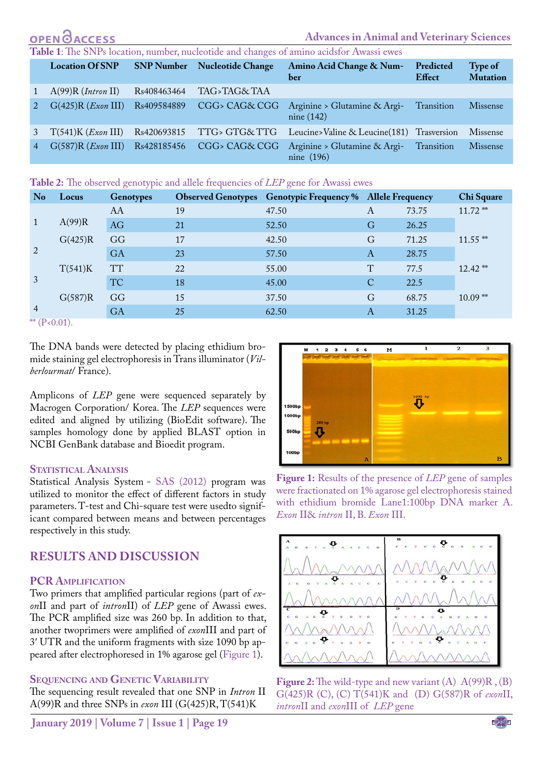# **Advances in Animal and Veterinary Sciences**

<span id="page-2-2"></span>

| <b>Location Of SNP</b>       | <b>SNP Number</b> | Nucleotide Change | Amino Acid Change & Num-<br>ber              | Predicted<br>Effect | Type of<br><b>Mutation</b> |
|------------------------------|-------------------|-------------------|----------------------------------------------|---------------------|----------------------------|
| A(99)R (Intro n II)          | Rs408463464       | TAG>TAG&TAA       |                                              |                     |                            |
| $G(425)R$ ( <i>Exon</i> III) | Rs409584889       | CGG> CAG& CGG     | Arginine > Glutamine & Argi-<br>nine $(142)$ | Transition          | <b>Missense</b>            |
| T(541)K (Exon III)           | Rs420693815       | TTG> GTG& TTG     | Leucine>Valine & Leucine(181) Trasversion    |                     | <b>Missense</b>            |
| $G(587)R$ ( <i>Exon</i> III) | Rs428185456       | CGG> CAG& CGG     | Arginine > Glutamine & Argi-<br>nine $(196)$ | Transition          | <b>Missense</b>            |

#### <span id="page-2-3"></span>**Table 2:** The observed genotypic and allele frequencies of *LEP* gene for Awassi ewes

| <b>No</b>      | Locus   | <b>Genotypes</b> |    | <b>Observed Genotypes</b> Genotypic Frequency % Allele Frequency |   |       | Chi Square |
|----------------|---------|------------------|----|------------------------------------------------------------------|---|-------|------------|
|                |         | AA               | 19 | 47.50                                                            | A | 73.75 | $11.72$ ** |
|                | A(99)R  | AG               | 21 | 52.50                                                            | G | 26.25 |            |
|                | G(425)R | GG               | 17 | 42.50                                                            | G | 71.25 | $11.55$ ** |
| 2              |         | <b>GA</b>        | 23 | 57.50                                                            | A | 28.75 |            |
|                | T(541)K | <b>TT</b>        | 22 | 55.00                                                            | T | 77.5  | $12.42$ ** |
| 3              |         | <b>TC</b>        | 18 | 45.00                                                            | C | 22.5  |            |
| $\overline{4}$ | G(587)R | GG               | 15 | 37.50                                                            | G | 68.75 | $10.09**$  |
|                |         | <b>GA</b>        | 25 | 62.50                                                            | А | 31.25 |            |

 $*$  (P<0.01).

The DNA bands were detected by placing ethidium bromide staining gel electrophoresis in Trans illuminator (*Vilberlourmat*/ France).

Amplicons of *LEP* gene were sequenced separately by Macrogen Corporation/ Korea. The *LEP* sequences were edited, and aligned, by utilizing (BioEdit software). The samples homology done by applied BLAST option in NCBI GenBank database and Bioedit program.

#### **STATISTICAL ANALYSIS**

Statistical Analysis System - SAS (2012) program was utilized to monitor the effect of different factors in study parameters. T-test and Chi-square test were usedto significant compared between means and between percentages respectively in this study.

## **Results and discussion**

#### **PCR Amplification**

Two primers that amplified particular regions (part of *exon*II and part of *intron*II) of *LEP* gene of Awassi ewes. The PCR amplified size was 260 bp. In addition to that, another twoprimers were amplified of *exon*III and part of 3′ UTR and the uniform fragments with size 1090 bp appeared after electrophoresed in 1% agarose gel ([Figure 1\)](#page-2-0).

#### **Sequencing and Genetic Variability**

The sequencing result revealed that one SNP in *Intron* II A(99)R and three SNPs in *exon* III (G(425)R, T(541)K



<span id="page-2-0"></span>**Figure 1:** Results of the presence of *LEP* gene of samples were fractionated on 1% agarose gel electrophoresis stained with ethidium bromide Lane1:100bp DNA marker A. *Exon* II& *intron* II, B. *Exon* III.



<span id="page-2-1"></span>

NE**X**US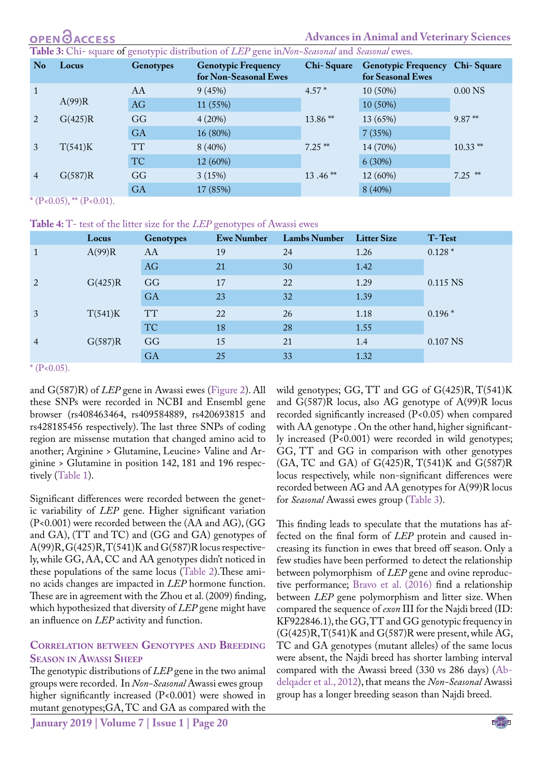## **ACCESS**

<span id="page-3-0"></span>**Table 3:** Chi- square of genotypic distribution of *LEP* gene in*Non-Seasonal* and *Seasonal* ewes.

| N <sub>o</sub> | Locus   | <b>Genotypes</b> | <b>Genotypic Frequency</b><br>for Non-Seasonal Ewes | Chi-Square | Genotypic Frequency Chi-Square<br>for Seasonal Ewes |                  |
|----------------|---------|------------------|-----------------------------------------------------|------------|-----------------------------------------------------|------------------|
| $\mathbf{1}$   | A(99)R  | AA               | 9(45%)                                              | $4.57*$    | 10 (50%)                                            | $0.00\text{ NS}$ |
|                |         | AG               | 11 (55%)                                            |            | 10 (50%)                                            |                  |
| 2              | G(425)R | GG               | 4(20%)                                              | 13.86**    | 13 (65%)                                            | $9.87**$         |
|                |         | <b>GA</b>        | 16 (80%)                                            |            | 7(35%)                                              |                  |
| 3              | T(541)K | <b>TT</b>        | 8(40%)                                              | $7.25$ **  | 14 (70%)                                            | $10.33$ **       |
|                |         | <b>TC</b>        | 12 (60%)                                            |            | 6(30%)                                              |                  |
| $\overline{4}$ | G(587)R | GG               | 3(15%)                                              | $13.46**$  | 12 (60%)                                            | $7.25$ **        |
|                |         | <b>GA</b>        | 17 (85%)                                            |            | 8(40%)                                              |                  |

 $*(P<0.05), ** (P<0.01).$ 

<span id="page-3-1"></span>**Table 4:** T- test of the litter size for the *LEP* genotypes of Awassi ewes

|                | Locus   | <b>Genotypes</b> | <b>Ewe Number</b> | <b>Lambs Number</b> | <b>Litter Size</b> | T-Test   |
|----------------|---------|------------------|-------------------|---------------------|--------------------|----------|
|                | A(99)R  | AA               | 19                | 24                  | 1.26               | $0.128*$ |
|                |         | AG               | 21                | 30                  | 1.42               |          |
| 2              | G(425)R | GG               | 17                | 22                  | 1.29               | 0.115 NS |
|                |         | <b>GA</b>        | 23                | 32                  | 1.39               |          |
| 3              | T(541)K | <b>TT</b>        | 22                | 26                  | 1.18               | $0.196*$ |
|                |         | <b>TC</b>        | 18                | 28                  | 1.55               |          |
| $\overline{4}$ | G(587)R | GG               | 15                | 21                  | 1.4                | 0.107 NS |
|                |         | GA               | 25                | 33                  | 1.32               |          |

 $*(P<0.05)$ .

and G(587)R) of *LEP* gene in Awassi ewes ([Figure 2\)](#page-2-1). All these SNPs were recorded in NCBI and Ensembl gene browser (rs408463464, rs409584889, rs420693815 and rs428185456 respectively). The last three SNPs of coding region are missense mutation that changed amino acid to another; Arginine > Glutamine, Leucine> Valine and Arginine > Glutamine in position 142, 181 and 196 respectively ([Table 1\)](#page-2-2).

Significant differences were recorded between the genetic variability of *LEP* gene. Higher significant variation (P<0.001) were recorded between the (AA and AG), (GG and GA), (TT and TC) and (GG and GA) genotypes of  $A(99)R, G(425)R, T(541)K$  and  $G(587)R$  locus respectively, while GG, AA, CC and AA genotypes didn't noticed in these populations of the same locus ([Table 2](#page-2-3)).These amino acids changes are impacted in *LEP* hormone function. These are in agreement with the Zhou et al. (2009) finding, which hypothesized that diversity of *LEP* gene might have an influence on *LEP* activity and function.

#### **Correlation between Genotypes and Breeding Season in Awassi Sheep**

The genotypic distributions of *LEP* gene in the two animal groups were recorded. In *Non-Seasonal* Awassi ewes group**,** higher significantly increased (P<0.001) were showed in mutant genotypes;GA, TC and GA as compared with the

wild genotypes; GG, TT and GG of G(425)R, T(541)K and G(587)R locus, also AG genotype of A(99)R locus recorded significantly increased (P<0.05) when compared with AA genotype . On the other hand, higher significantly increased (P<0.001) were recorded in wild genotypes; GG, TT and GG in comparison with other genotypes (GA, TC and GA) of G(425)R, T(541)K and G(587)R locus respectively, while non-significant differences were recorded between AG and AA genotypes for A(99)R locus for *Seasonal* Awassi ewes group ([Table 3](#page-3-0)).

This finding leads to speculate that the mutations has affected on the final form of *LEP* protein and caused increasing its function in ewes that breed off season. Only a few studies have been performed, to detect the relationship between polymorphism of *LEP* gene and ovine reproductive performance; Bravo et al. (2016) find a relationship between *LEP* gene polymorphism and litter size. When compared the sequence of *exon* III for the Najdi breed (ID: KF922846.1), the GG, TT and GG genotypic frequency in  $(G(425)R, T(541)K$  and  $G(587)R$  were present, while AG, TC and GA genotypes (mutant alleles) of the same locus were absent, the Najdi breed has shorter lambing interval compared with the Awassi breed (330 vs 286 days) ([Ab](#page-4-2)[delqader et al., 2012](#page-4-2)), that means the *Non-Seasonal* Awassi group has a longer breeding season than Najdi breed.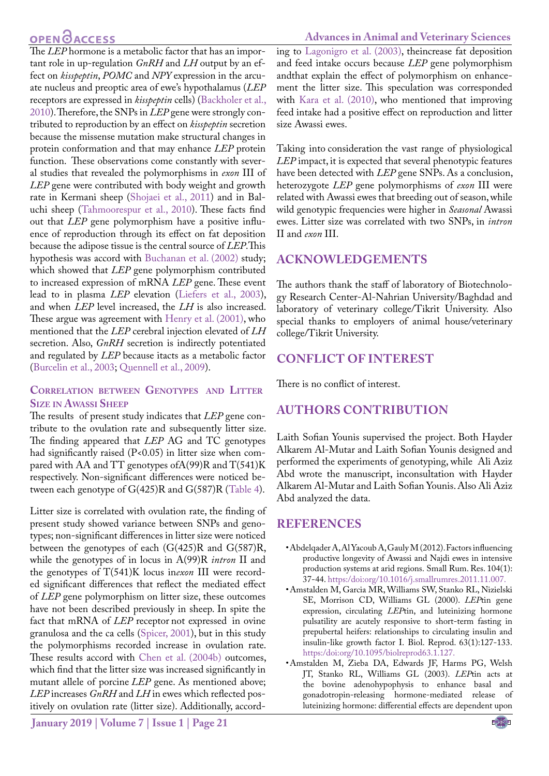## **OPEN**OACCESS

The *LEP* hormone is a metabolic factor that has an important role in up-regulation *GnRH* and *LH* output by an effect on *kisspeptin*, *POMC* and *NPY* expression in the arcuate nucleus and preoptic area of ewe's hypothalamus (*LEP* receptors are expressed in *kisspeptin* cells) ([Backholer et al.,](#page-5-3) [2010\)](#page-5-3). Therefore, the SNPs in *LEP* gene were strongly contributed to reproduction by an effect on *kisspeptin* secretion because the missense mutation make structural changes in protein conformation and that may enhance *LEP* protein function. These observations come constantly with several studies that revealed the polymorphisms in *exon* III of *LEP* gene were contributed with body weight and growth rate in Kermani sheep [\(Shojaei et al., 2011](#page-6-4)) and in Baluchi sheep [\(Tahmoorespur et al., 2010\)](#page-6-5). These facts find out that *LEP* gene polymorphism have a positive influence of reproduction through its effect on fat deposition because the adipose tissue is the central source of *LEP*.This hypothesis was accord with Buchanan et al. (2002) study; which showed that *LEP* gene polymorphism contributed to increased expression of mRNA *LEP* gene. These event lead to in plasma *LEP* elevation ([Liefers et al., 2003](#page-5-18)), and when *LEP* level increased, the *LH* is also increased. These argue was agreement with [Henry et al. \(2001\)](#page-5-7), who mentioned that the *LEP* cerebral injection elevated of *LH* secretion. Also, *GnRH* secretion is indirectly potentiated and regulated by *LEP* because itacts as a metabolic factor [\(Burcelin et al., 2003](#page-5-19); [Quennell et al., 2009](#page-6-6)).

#### **Correlation between Genotypes, and Litter, Size in Awassi Sheep**

The results of present study indicates that *LEP* gene contribute to the ovulation rate and subsequently litter size. The finding appeared that *LEP* AG and TC genotypes had significantly raised (P<0.05) in litter size when compared with AA and TT genotypes ofA(99)R and T(541)K respectively. Non-significant differences were noticed between each genotype of  $G(425)R$  and  $G(587)R$  [\(Table 4](#page-3-1)).

Litter size is correlated with ovulation rate, the finding of present study showed variance between SNPs and genotypes; non-significant differences in litter size were noticed between the genotypes of each (G(425)R and G(587)R, while the genotypes of in locus in A(99)R *intron* II and the genotypes of T(541)K locus in*exon* III were recorded significant differences that reflect the mediated effect of *LEP* gene polymorphism on litter size, these outcomes have not been described previously in sheep. In spite the fact that mRNA of *LEP* receptor not expressed in ovine granulosa and the ca cells (Spicer, 2001), but in this study the polymorphisms recorded increase in ovulation rate. These results accord with [Chen et al. \(2004b\)](#page-5-20) outcomes, which find that the litter size was increased significantly in mutant allele of porcine *LEP* gene. As mentioned above; *LEP* increases *GnRH* and *LH* in ewes which reflected positively on ovulation rate (litter size). Additionally, accord-

and feed intake occurs because *LEP* gene polymorphism andthat explain the effect of polymorphism on enhancement the litter size. This speculation was corresponded with [Kara et al. \(2010\)](#page-5-22), who mentioned that improving feed intake had a positive effect on reproduction and litter size Awassi ewes. Taking into consideration the vast range of physiological

*LEP* impact, it is expected that several phenotypic features have been detected with *LEP* gene SNPs. As a conclusion, heterozygote *LEP* gene polymorphisms of *exon* III were related with Awassi ewes that breeding out of season, while wild genotypic frequencies were higher in *Seasonal* Awassi ewes. Litter size was correlated with two SNPs, in *intron* II and *exon* III.

## **Acknowledgements**

The authors thank the staff of laboratory of Biotechnology Research Center-Al-Nahrian University/Baghdad and laboratory of veterinary college/Tikrit University. Also special thanks to employers of animal house/veterinary college/Tikrit University.

#### **Conflict of interest**

There is no conflict of interest.

## **authors contribution**

Laith Sofian Younis supervised the project. Both Hayder Alkarem Al-Mutar and Laith Sofian Younis designed and performed the experiments of genotyping, while Ali Aziz Abd wrote the manuscript, inconsultation with Hayder Alkarem Al-Mutar and Laith Sofian Younis. Also Ali Aziz Abd analyzed the data.

## **References**

- <span id="page-4-2"></span>• Abdelqader A, Al Yacoub A, Gauly M (2012). Factors influencing productive longevity of Awassi and Najdi ewes in intensive production systems at arid regions. Small Rum. Res. 104(1): 37-44. https:/[doi:org/10.1016/j.smallrumres.2011.11.007.](https://doi.org/10.1016/j.smallrumres.2011.11.007)
- <span id="page-4-0"></span>• Amstalden M, Garcia MR, Williams SW, Stanko RL, Nizielski SE, Morrison CD, Williams GL (2000). *LEP*tin gene expression, circulating *LEP*tin, and luteinizing hormone pulsatility are acutely responsive to short-term fasting in prepubertal heifers: relationships to circulating insulin and insulin-like growth factor I. Biol. Reprod. 63(1):127-133. https:/[doi:org/10.1095/biolreprod63.1.127](https://doi.org/10.1095/biolreprod63.1.127).
- <span id="page-4-1"></span>• Amstalden M, Zieba DA, Edwards JF, Harms PG, Welsh JT, Stanko RL, Williams GL (2003). *LEP*tin acts at the bovine adenohypophysis to enhance basal and gonadotropin-releasing hormone-mediated release of luteinizing hormone: differential effects are dependent upon

#### **Advances in Animal and Veterinary Sciences**

ing to [Lagonigro et al. \(2003\)](#page-5-21), theincrease fat deposition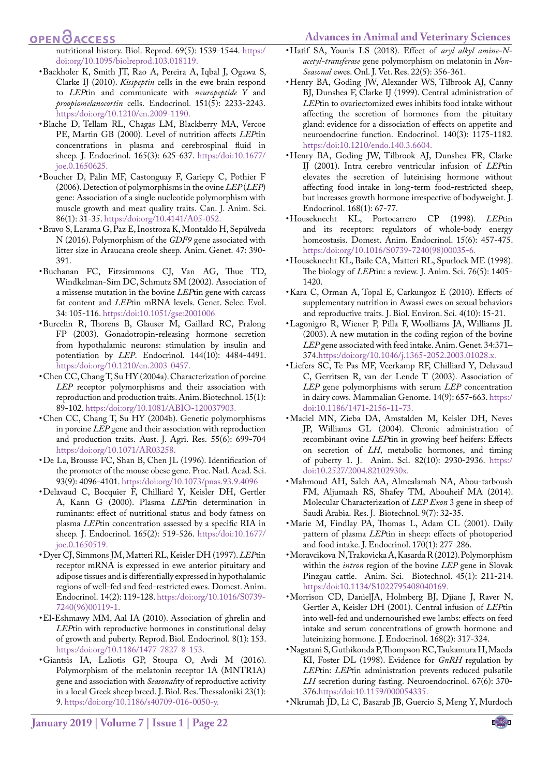#### <span id="page-5-13"></span>**Advances in Animal and Veterinary Sciences**

## **OPEN**<sub>d</sub>

nutritional history. Biol. Reprod. 69(5): 1539-1544. https:/ [doi:org/10.1095/biolreprod.103.018119.](https://doi.org/10.1095/biolreprod.103.018119)

- <span id="page-5-3"></span>• Backholer K, Smith JT, Rao A, Pereira A, Iqbal J, Ogawa S, Clarke IJ (2010). *Kisspeptin* cells in the ewe brain respond to *LEP*tin and communicate with *neuropeptide Y* and *proopiomelanocortin* cells. Endocrinol. 151(5): 2233-2243. https:[/doi:org/10.1210/en.2009-1190](https://doi.org/10.1210/en.2009-1190).
- <span id="page-5-4"></span>• Blache D, Tellam RL, Chagas LM, Blackberry MA, Vercoe PE, Martin GB (2000). Level of nutrition affects *LEP*tin concentrations in plasma and cerebrospinal fluid in sheep. J. Endocrinol. 165(3): 625-637. https:/doi:10.1677/ joe.0.1650625.
- <span id="page-5-16"></span>• Boucher D, Palin MF, Castonguay F, Gariepy C, Pothier F (2006). Detection of polymorphisms in the ovine *LEP* (*LEP*) gene: Association of a single nucleotide polymorphism with muscle growth and meat quality traits. Can. J. Anim. Sci. 86(1): 31-35. https:[/doi:org/10.4141/A05-052.](https://doi.org/10.4141/A05-052)
- • Bravo S, Larama G, Paz E, Inostroza K, Montaldo H, Sepúlveda N (2016). Polymorphism of the *GDF9* gene associated with litter size in Araucana creole sheep. Anim. Genet. 47: 390- 391.
- • Buchanan FC, Fitzsimmons CJ, Van AG, Thue TD, Windkelman-Sim DC, Schmutz SM (2002). Association of a missense mutation in the bovine *LEP*tin gene with carcass fat content and *LEP*tin mRNA levels. Genet. Selec. Evol. 34: 105-116.<https:/doi:10.1051/gse:2001006>
- <span id="page-5-19"></span>• Burcelin R, Thorens B, Glauser M, Gaillard RC, Pralong FP (2003). Gonadotropin-releasing hormone secretion from hypothalamic neurons: stimulation by insulin and potentiation by *LEP*. Endocrinol. 144(10): 4484-4491. https:[/doi:org/10.1210/en.2003-0457](https://doi.org/10.1210/en.2003-0457).
- <span id="page-5-14"></span>• Chen CC, Chang T, Su HY (2004a). Characterization of porcine *LEP* receptor polymorphisms and their association with reproduction and production traits. Anim. Biotechnol. 15(1): 89-102. https:/[doi:org/10.1081/ABIO-120037903.](https://doi.org/10.1081/ABIO-120037903)
- <span id="page-5-20"></span>• Chen CC, Chang T, Su HY (2004b). Genetic polymorphisms in porcine *LEP* gene and their association with reproduction and production traits. Aust. J. Agri. Res. 55(6): 699-704 https:/doi:org/10.1071/AR03258.
- • De La, Brousse FC, Shan B, Chen JL (1996). Identification of the promoter of the mouse obese gene. Proc. Natl*.* Acad. Sci. 93(9): 4096-4101. https:[/doi:org/10.1073/pnas.93.9.4096](https://doi.org/10.1073/pnas.93.9.4096)
- <span id="page-5-5"></span>• Delavaud C, Bocquier F, Chilliard Y, Keisler DH, Gertler A, Kann G (2000). Plasma *LEP*tin determination in ruminants: effect of nutritional status and body fatness on plasma *LEP*tin concentration assessed by a specific RIA in sheep. J. Endocrinol. 165(2): 519-526. [https:/doi:10.1677/](https:/doi:10.1677/joe.0.1650519. ) [joe.0.1650519.](https:/doi:10.1677/joe.0.1650519. )
- <span id="page-5-2"></span>• Dyer CJ, Simmons JM, Matteri RL, Keisler DH (1997). *LEP*tin receptor mRNA is expressed in ewe anterior pituitary and adipose tissues and is differentially expressed in hypothalamic regions of well-fed and feed-restricted ewes. Domest. Anim. Endocrinol. 14(2): 119-128. https:[/doi:org/10.1016/S0739-](https://doi.org/10.1016/S0739-7240(96)00119-1) [7240\(96\)00119-1](https://doi.org/10.1016/S0739-7240(96)00119-1).
- <span id="page-5-10"></span>• El-Eshmawy MM, Aal IA (2010). Association of ghrelin and *LEP*tin with reproductive hormones in constitutional delay of growth and puberty. Reprod. Biol. Endocrinol. 8(1): 153. https:[/doi:org/10.1186/1477-7827-8-153](https://doi.org/10.1186/1477-7827-8-153).
- <span id="page-5-12"></span>• Giantsis IA, Laliotis GP, Stoupa O, Avdi M (2016). Polymorphism of the melatonin receptor 1A (MNTR1A) gene and association with *Seasonal*ity of reproductive activity in a local Greek sheep breed. J. Biol. Res. Thessaloniki 23(1): 9. https:[/doi:org/10.1186/s40709-016-0050-y](https://doi.org/10.1186/s40709-016-0050-y).
- • Hatif SA, Younis LS (2018). Effect of *aryl alkyl amine-Nacetyl-transferase* gene polymorphism on melatonin in *Non-Seasonal* ewes. Onl. J. Vet. Res. 22(5): 356-361.
- <span id="page-5-11"></span>• Henry BA, Goding JW, Alexander WS, Tilbrook AJ, Canny BJ, Dunshea F, Clarke IJ (1999). Central administration of *LEP*tin to ovariectomized ewes inhibits food intake without affecting the secretion of hormones from the pituitary gland: evidence for a dissociation of effects on appetite and neuroendocrine function. Endocrinol. 140(3): 1175-1182. https:/doi[:10.1210/endo.140.3.6604](https://doi.org/10.1210/endo.140.3.6604).
- <span id="page-5-7"></span>• Henry BA, Goding JW, Tilbrook AJ, Dunshea FR, Clarke IJ (2001). Intra cerebro ventricular infusion of *LEP*tin elevates the secretion of luteinising hormone without affecting food intake in long-term food-restricted sheep, but increases growth hormone irrespective of bodyweight. J. Endocrinol. 168(1): 67-77.
- <span id="page-5-0"></span>• Houseknecht KL, Portocarrero CP (1998). *LEP*tin and its receptors: regulators of whole-body energy homeostasis. Domest. Anim. Endocrinol. 15(6): 457-475. https:/[doi:org/10.1016/S0739-7240\(98\)00035-6.](https://doi.org/10.1016/S0739-7240(98)00035-6)
- • Houseknecht KL, Baile CA, Matteri RL, Spurlock ME (1998). The biology of *LEP*tin: a review. J. Anim. Sci. 76(5): 1405- 1420.
- <span id="page-5-22"></span>• Kara C, Orman A, Topal E, Carkungoz E (2010). Effects of supplementary nutrition in Awassi ewes on sexual behaviors and reproductive traits. J. Biol. Environ. Sci. 4(10): 15-21.
- <span id="page-5-21"></span>• Lagonigro R, Wiener P, Pilla F, Woolliams JA, Williams JL (2003). A new mutation in the coding region of the bovine *LEP* gene associated with feed intake. Anim. Genet. 34:371– 374.https:[/doi:org/10.1046/j.1365-2052.2003.01028.x.](https://doi.org/10.1046/j.1365-2052.2003.01028.x)
- <span id="page-5-18"></span>• Liefers SC, Te Pas MF, Veerkamp RF, Chilliard Y, Delavaud C, Gerritsen R, van der Lende T (2003). Association of *LEP* gene polymorphisms with serum *LEP* concentration in dairy cows. Mammalian Genome. 14(9): 657-663. https:/ doi[:10.1186/1471-2156-11-73](https://dx.doi.org/10.1186%2F1471-2156-11-73).
- <span id="page-5-9"></span>• Maciel MN, Zieba DA, Amstalden M, Keisler DH, Neves JP, Williams GL (2004). Chronic administration of recombinant ovine *LEP*tin in growing beef heifers: Effects on secretion of *LH*, metabolic hormones, and timing of puberty 1. J. Anim. Sci. 82(10): 2930-2936. https:/ doi[:10.2527/2004.82102930x](https://doi.org/10.2527/2004.82102930x).
- <span id="page-5-17"></span>• Mahmoud AH, Saleh AA, Almealamah NA, Abou-tarboush FM, Aljumaah RS, Shafey TM, Abouheif MA (2014). Molecular Characterization of *LEP Exon* 3 gene in sheep of Saudi Arabia. Res. J. Biotechnol. 9(7): 32-35.
- <span id="page-5-1"></span>• Marie M, Findlay PA, Thomas L, Adam CL (2001). Daily pattern of plasma *LEP*tin in sheep: effects of photoperiod and food intake. J. Endocrinol. 170(1): 277-286.
- • Moravcikova N, Trakovicka A, Kasarda R (2012). Polymorphism within the *intron* region of the bovine *LEP* gene in Slovak Pinzgau cattle. Anim. Sci. Biotechnol. 45(1): 211-214. https:/doi:10.1134/S1022795408040169.
- <span id="page-5-8"></span>• Morrison CD, DanielJA, Holmberg BJ, Djiane J, Raver N, Gertler A, Keisler DH (2001). Central infusion of *LEP*tin into well-fed and undernourished ewe lambs: effects on feed intake and serum concentrations of growth hormone and luteinizing hormone. J. Endocrinol. 168(2): 317-324.
- <span id="page-5-6"></span>• Nagatani S, Guthikonda P, Thompson RC, Tsukamura H, Maeda KI, Foster DL (1998). Evidence for *GnRH* regulation by *LEP*tin: *LEP*tin administration prevents reduced pulsatile *LH* secretion during fasting. Neuroendocrinol. 67(6): 370- 376.https:/doi:10.1159/000054335.
- <span id="page-5-15"></span>• Nkrumah JD, Li C, Basarab JB, Guercio S, Meng Y, Murdoch

**January 2019 | Volume 7 | Issue 1 | Page 22**